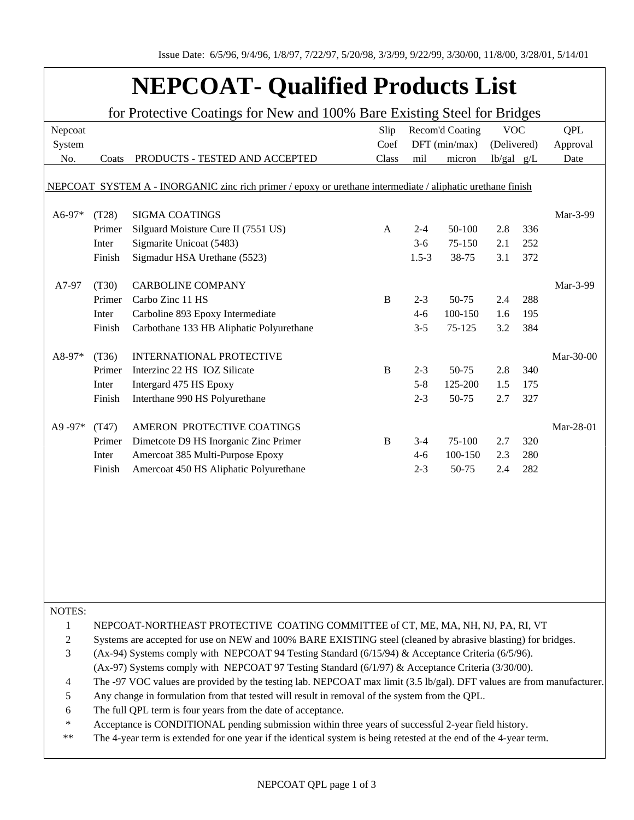## **NEPCOAT- Qualified Products List**

| for Protective Coatings for New and 100% Bare Existing Steel for Bridges                                   |                                                                                                                       |                                          |              |                 |         |                |     |            |  |  |
|------------------------------------------------------------------------------------------------------------|-----------------------------------------------------------------------------------------------------------------------|------------------------------------------|--------------|-----------------|---------|----------------|-----|------------|--|--|
| Nepcoat                                                                                                    |                                                                                                                       |                                          | Slip         | Recom'd Coating |         | <b>VOC</b>     |     | <b>QPL</b> |  |  |
| System                                                                                                     |                                                                                                                       |                                          | Coef         | DFT (min/max)   |         | (Delivered)    |     | Approval   |  |  |
| No.                                                                                                        | Coats                                                                                                                 | PRODUCTS - TESTED AND ACCEPTED           | Class        | mil             | micron  | $lb/gal$ $g/L$ |     | Date       |  |  |
|                                                                                                            |                                                                                                                       |                                          |              |                 |         |                |     |            |  |  |
| NEPCOAT SYSTEM A - INORGANIC zinc rich primer / epoxy or urethane intermediate / aliphatic urethane finish |                                                                                                                       |                                          |              |                 |         |                |     |            |  |  |
|                                                                                                            |                                                                                                                       |                                          |              |                 |         |                |     |            |  |  |
| A6-97*                                                                                                     | (T28)                                                                                                                 | <b>SIGMA COATINGS</b>                    |              |                 |         |                |     | Mar-3-99   |  |  |
|                                                                                                            | Primer                                                                                                                | Silguard Moisture Cure II (7551 US)      | A            | $2 - 4$         | 50-100  | 2.8            | 336 |            |  |  |
|                                                                                                            | Inter                                                                                                                 | Sigmarite Unicoat (5483)                 |              | $3-6$           | 75-150  | 2.1            | 252 |            |  |  |
|                                                                                                            | Finish                                                                                                                | Sigmadur HSA Urethane (5523)             |              | $1.5 - 3$       | 38-75   | 3.1            | 372 |            |  |  |
| A7-97                                                                                                      | (T30)                                                                                                                 | <b>CARBOLINE COMPANY</b>                 |              |                 |         |                |     | Mar-3-99   |  |  |
|                                                                                                            | Primer                                                                                                                | Carbo Zinc 11 HS                         | $\, {\bf B}$ | $2 - 3$         | 50-75   | 2.4            | 288 |            |  |  |
|                                                                                                            | Inter                                                                                                                 | Carboline 893 Epoxy Intermediate         |              | $4 - 6$         | 100-150 | 1.6            | 195 |            |  |  |
|                                                                                                            | Finish                                                                                                                | Carbothane 133 HB Aliphatic Polyurethane |              | $3 - 5$         | 75-125  | 3.2            | 384 |            |  |  |
|                                                                                                            |                                                                                                                       |                                          |              |                 |         |                |     |            |  |  |
| A8-97*                                                                                                     | (T36)                                                                                                                 | INTERNATIONAL PROTECTIVE                 |              |                 |         |                |     | Mar-30-00  |  |  |
|                                                                                                            | Primer                                                                                                                | Interzinc 22 HS IOZ Silicate             | $\, {\bf B}$ | $2 - 3$         | 50-75   | 2.8            | 340 |            |  |  |
|                                                                                                            | Inter                                                                                                                 | Intergard 475 HS Epoxy                   |              | $5 - 8$         | 125-200 | 1.5            | 175 |            |  |  |
|                                                                                                            | Finish                                                                                                                | Interthane 990 HS Polyurethane           |              | $2 - 3$         | 50-75   | 2.7            | 327 |            |  |  |
|                                                                                                            |                                                                                                                       |                                          |              |                 |         |                |     |            |  |  |
| A9-97*                                                                                                     | (T47)                                                                                                                 | AMERON PROTECTIVE COATINGS               |              |                 |         |                |     | Mar-28-01  |  |  |
|                                                                                                            | Primer                                                                                                                | Dimetcote D9 HS Inorganic Zinc Primer    | $\bf{B}$     | $3-4$           | 75-100  | 2.7            | 320 |            |  |  |
|                                                                                                            | Inter                                                                                                                 | Amercoat 385 Multi-Purpose Epoxy         |              | $4-6$           | 100-150 | 2.3            | 280 |            |  |  |
|                                                                                                            | Finish                                                                                                                | Amercoat 450 HS Aliphatic Polyurethane   |              | $2 - 3$         | 50-75   | 2.4            | 282 |            |  |  |
|                                                                                                            |                                                                                                                       |                                          |              |                 |         |                |     |            |  |  |
|                                                                                                            |                                                                                                                       |                                          |              |                 |         |                |     |            |  |  |
|                                                                                                            |                                                                                                                       |                                          |              |                 |         |                |     |            |  |  |
|                                                                                                            |                                                                                                                       |                                          |              |                 |         |                |     |            |  |  |
|                                                                                                            |                                                                                                                       |                                          |              |                 |         |                |     |            |  |  |
|                                                                                                            |                                                                                                                       |                                          |              |                 |         |                |     |            |  |  |
|                                                                                                            |                                                                                                                       |                                          |              |                 |         |                |     |            |  |  |
|                                                                                                            |                                                                                                                       |                                          |              |                 |         |                |     |            |  |  |
|                                                                                                            |                                                                                                                       |                                          |              |                 |         |                |     |            |  |  |
| NOTES:                                                                                                     |                                                                                                                       |                                          |              |                 |         |                |     |            |  |  |
| 1                                                                                                          | NEPCOAT-NORTHEAST PROTECTIVE COATING COMMITTEE of CT, ME, MA, NH, NJ, PA, RI, VT                                      |                                          |              |                 |         |                |     |            |  |  |
| 2                                                                                                          | Systems are accepted for use on NEW and 100% BARE EXISTING steel (cleaned by abrasive blasting) for bridges.          |                                          |              |                 |         |                |     |            |  |  |
| 3                                                                                                          | (Ax-94) Systems comply with NEPCOAT 94 Testing Standard (6/15/94) & Acceptance Criteria (6/5/96).                     |                                          |              |                 |         |                |     |            |  |  |
|                                                                                                            | (Ax-97) Systems comply with NEPCOAT 97 Testing Standard $(6/1/97)$ & Acceptance Criteria (3/30/00).                   |                                          |              |                 |         |                |     |            |  |  |
| 4                                                                                                          | The -97 VOC values are provided by the testing lab. NEPCOAT max limit (3.5 lb/gal). DFT values are from manufacturer. |                                          |              |                 |         |                |     |            |  |  |
| 5                                                                                                          | Any change in formulation from that tested will result in removal of the system from the QPL.                         |                                          |              |                 |         |                |     |            |  |  |
| 6                                                                                                          | The full QPL term is four years from the date of acceptance.                                                          |                                          |              |                 |         |                |     |            |  |  |
| ∗                                                                                                          | Acceptance is CONDITIONAL pending submission within three years of successful 2-year field history.                   |                                          |              |                 |         |                |     |            |  |  |
| $***$                                                                                                      | The 4-year term is extended for one year if the identical system is being retested at the end of the 4-year term.     |                                          |              |                 |         |                |     |            |  |  |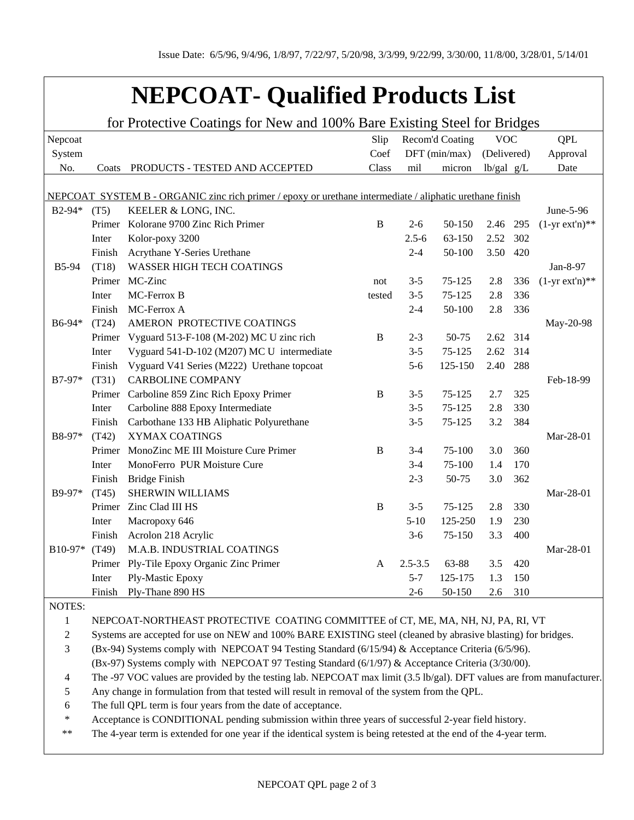## **NEPCOAT- Qualified Products List**

| for Protective Coatings for New and 100% Bare Existing Steel for Bridges                                 |                                                                                                                       |                                                 |              |                 |         |              |     |                  |  |
|----------------------------------------------------------------------------------------------------------|-----------------------------------------------------------------------------------------------------------------------|-------------------------------------------------|--------------|-----------------|---------|--------------|-----|------------------|--|
| Nepcoat                                                                                                  |                                                                                                                       |                                                 | Slip         | Recom'd Coating |         | <b>VOC</b>   |     | <b>QPL</b>       |  |
| System                                                                                                   |                                                                                                                       |                                                 | Coef         | $DFT$ (min/max) |         | (Delivered)  |     | Approval         |  |
| No.                                                                                                      | Coats                                                                                                                 | PRODUCTS - TESTED AND ACCEPTED                  | Class        | mil             | micron  | $lb/gal$ g/L |     | Date             |  |
|                                                                                                          |                                                                                                                       |                                                 |              |                 |         |              |     |                  |  |
| NEPCOAT SYSTEM B - ORGANIC zinc rich primer / epoxy or urethane intermediate / aliphatic urethane finish |                                                                                                                       |                                                 |              |                 |         |              |     |                  |  |
| B2-94*                                                                                                   | (T5)                                                                                                                  | KEELER & LONG, INC.                             |              |                 |         |              |     | June-5-96        |  |
|                                                                                                          |                                                                                                                       | Primer Kolorane 9700 Zinc Rich Primer           | $\, {\bf B}$ | $2 - 6$         | 50-150  | 2.46         | 295 | $(1-yr ext'n)**$ |  |
|                                                                                                          | Inter                                                                                                                 | Kolor-poxy 3200                                 |              | $2.5 - 6$       | 63-150  | 2.52         | 302 |                  |  |
|                                                                                                          | Finish                                                                                                                | Acrythane Y-Series Urethane                     |              | $2 - 4$         | 50-100  | 3.50         | 420 |                  |  |
| <b>B5-94</b>                                                                                             | (T18)                                                                                                                 | <b>WASSER HIGH TECH COATINGS</b>                |              |                 |         |              |     | Jan-8-97         |  |
|                                                                                                          |                                                                                                                       | Primer MC-Zinc                                  | not          | $3 - 5$         | 75-125  | 2.8          | 336 | $(1-yr ext'n)**$ |  |
|                                                                                                          | Inter                                                                                                                 | MC-Ferrox B                                     | tested       | $3 - 5$         | 75-125  | 2.8          | 336 |                  |  |
|                                                                                                          | Finish                                                                                                                | MC-Ferrox A                                     |              | $2 - 4$         | 50-100  | 2.8          | 336 |                  |  |
| B6-94*                                                                                                   | (T24)                                                                                                                 | AMERON PROTECTIVE COATINGS                      |              |                 |         |              |     | May-20-98        |  |
|                                                                                                          |                                                                                                                       | Primer Vyguard 513-F-108 (M-202) MC U zinc rich | B            | $2 - 3$         | 50-75   | 2.62 314     |     |                  |  |
|                                                                                                          | Inter                                                                                                                 | Vyguard 541-D-102 (M207) MC U intermediate      |              | $3 - 5$         | 75-125  | 2.62         | 314 |                  |  |
|                                                                                                          | Finish                                                                                                                | Vyguard V41 Series (M222) Urethane topcoat      |              | $5 - 6$         | 125-150 | 2.40         | 288 |                  |  |
| B7-97*                                                                                                   | (T31)                                                                                                                 | <b>CARBOLINE COMPANY</b>                        |              |                 |         |              |     | Feb-18-99        |  |
|                                                                                                          |                                                                                                                       | Primer Carboline 859 Zinc Rich Epoxy Primer     | B            | $3 - 5$         | 75-125  | 2.7          | 325 |                  |  |
|                                                                                                          | Inter                                                                                                                 | Carboline 888 Epoxy Intermediate                |              | $3 - 5$         | 75-125  | 2.8          | 330 |                  |  |
|                                                                                                          | Finish                                                                                                                | Carbothane 133 HB Aliphatic Polyurethane        |              | $3 - 5$         | 75-125  | 3.2          | 384 |                  |  |
| B8-97*                                                                                                   | (T42)                                                                                                                 | XYMAX COATINGS                                  |              |                 |         |              |     | Mar-28-01        |  |
|                                                                                                          | Primer                                                                                                                | MonoZinc ME III Moisture Cure Primer            | B            | $3 - 4$         | 75-100  | 3.0          | 360 |                  |  |
|                                                                                                          | Inter                                                                                                                 | MonoFerro PUR Moisture Cure                     |              | $3 - 4$         | 75-100  | 1.4          | 170 |                  |  |
|                                                                                                          | Finish                                                                                                                | <b>Bridge Finish</b>                            |              | $2 - 3$         | 50-75   | 3.0          | 362 |                  |  |
| B9-97*                                                                                                   | (T45)                                                                                                                 | SHERWIN WILLIAMS                                |              |                 |         |              |     | Mar-28-01        |  |
|                                                                                                          |                                                                                                                       | Primer Zinc Clad III HS                         | B            | $3 - 5$         | 75-125  | 2.8          | 330 |                  |  |
|                                                                                                          | Inter                                                                                                                 | Macropoxy 646                                   |              | $5-10$          | 125-250 | 1.9          | 230 |                  |  |
|                                                                                                          | Finish                                                                                                                | Acrolon 218 Acrylic                             |              | $3-6$           | 75-150  | 3.3          | 400 |                  |  |
| B10-97*                                                                                                  | (T49)                                                                                                                 | M.A.B. INDUSTRIAL COATINGS                      |              |                 |         |              |     | Mar-28-01        |  |
|                                                                                                          |                                                                                                                       | Primer Ply-Tile Epoxy Organic Zinc Primer       | A            | $2.5 - 3.5$     | 63-88   | 3.5          | 420 |                  |  |
|                                                                                                          | Inter                                                                                                                 | Ply-Mastic Epoxy                                |              | $5 - 7$         | 125-175 | 1.3          | 150 |                  |  |
|                                                                                                          |                                                                                                                       | Finish Ply-Thane 890 HS                         |              | $2 - 6$         | 50-150  | 2.6          | 310 |                  |  |
| NOTES:                                                                                                   |                                                                                                                       |                                                 |              |                 |         |              |     |                  |  |
| $\mathbf{1}$                                                                                             | NEPCOAT-NORTHEAST PROTECTIVE COATING COMMITTEE of CT, ME, MA, NH, NJ, PA, RI, VT                                      |                                                 |              |                 |         |              |     |                  |  |
| $\overline{c}$                                                                                           | Systems are accepted for use on NEW and 100% BARE EXISTING steel (cleaned by abrasive blasting) for bridges.          |                                                 |              |                 |         |              |     |                  |  |
| 3                                                                                                        | (Bx-94) Systems comply with NEPCOAT 94 Testing Standard (6/15/94) & Acceptance Criteria (6/5/96).                     |                                                 |              |                 |         |              |     |                  |  |
|                                                                                                          | (Bx-97) Systems comply with NEPCOAT 97 Testing Standard (6/1/97) & Acceptance Criteria (3/30/00).                     |                                                 |              |                 |         |              |     |                  |  |
| 4                                                                                                        | The -97 VOC values are provided by the testing lab. NEPCOAT max limit (3.5 lb/gal). DFT values are from manufacturer. |                                                 |              |                 |         |              |     |                  |  |
| 5                                                                                                        | Any change in formulation from that tested will result in removal of the system from the QPL.                         |                                                 |              |                 |         |              |     |                  |  |
| 6                                                                                                        | The full QPL term is four years from the date of acceptance.                                                          |                                                 |              |                 |         |              |     |                  |  |
| $\ast$                                                                                                   | Acceptance is CONDITIONAL pending submission within three years of successful 2-year field history.                   |                                                 |              |                 |         |              |     |                  |  |

\*\* The 4-year term is extended for one year if the identical system is being retested at the end of the 4-year term.